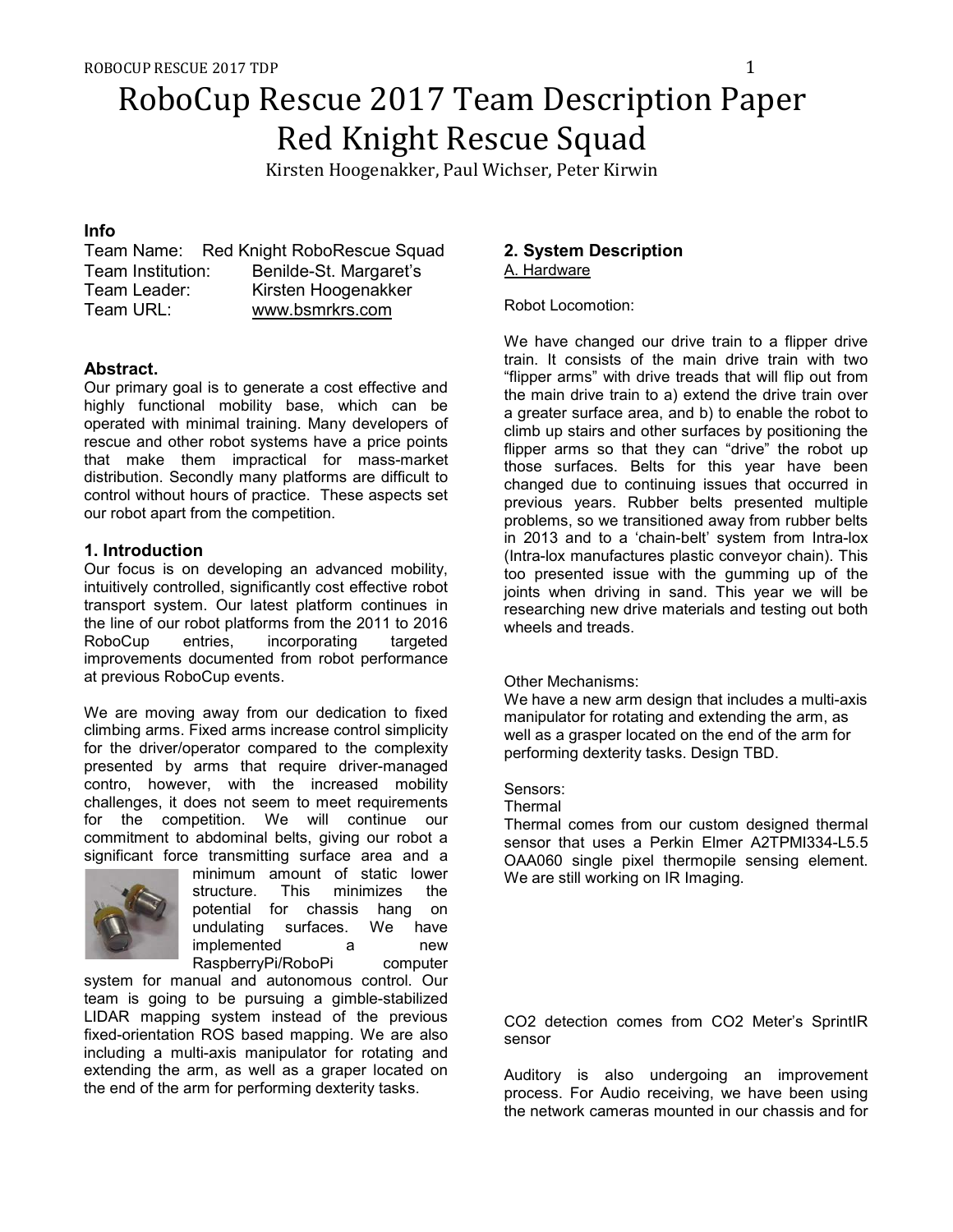Kirsten Hoogenakker, Paul Wichser, Peter Kirwin

# **Info**

|                   | Team Name: Red Knight RoboRescue Squad |
|-------------------|----------------------------------------|
| Team Institution: | Benilde-St. Margaret's                 |
| Team Leader:      | Kirsten Hoogenakker                    |
| Team URL:         | www.bsmrkrs.com                        |

# **Abstract.**

Our primary goal is to generate a cost effective and highly functional mobility base, which can be operated with minimal training. Many developers of rescue and other robot systems have a price points that make them impractical for mass-market distribution. Secondly many platforms are difficult to control without hours of practice. These aspects set our robot apart from the competition.

# **1. Introduction**

Our focus is on developing an advanced mobility, intuitively controlled, significantly cost effective robot transport system. Our latest platform continues in the line of our robot platforms from the 2011 to 2016 RoboCup entries, incorporating targeted improvements documented from robot performance at previous RoboCup events.

We are moving away from our dedication to fixed climbing arms. Fixed arms increase control simplicity for the driver/operator compared to the complexity presented by arms that require driver-managed contro, however, with the increased mobility challenges, it does not seem to meet requirements for the competition. We will continue our commitment to abdominal belts, giving our robot a significant force transmitting surface area and a



minimum amount of static lower structure. This minimizes the potential for chassis hang on undulating surfaces. We have implemented a new RaspberryPi/RoboPi computer

system for manual and autonomous control. Our team is going to be pursuing a gimble-stabilized LIDAR mapping system instead of the previous fixed-orientation ROS based mapping. We are also including a multi-axis manipulator for rotating and extending the arm, as well as a graper located on the end of the arm for performing dexterity tasks.

# **2. System Description**  A. Hardware

Robot Locomotion:

We have changed our drive train to a flipper drive train. It consists of the main drive train with two "flipper arms" with drive treads that will flip out from the main drive train to a) extend the drive train over a greater surface area, and b) to enable the robot to climb up stairs and other surfaces by positioning the flipper arms so that they can "drive" the robot up those surfaces. Belts for this year have been changed due to continuing issues that occurred in previous years. Rubber belts presented multiple problems, so we transitioned away from rubber belts in 2013 and to a 'chain-belt' system from Intra-lox (Intra-lox manufactures plastic conveyor chain). This too presented issue with the gumming up of the joints when driving in sand. This year we will be researching new drive materials and testing out both wheels and treads.

## Other Mechanisms:

We have a new arm design that includes a multi-axis manipulator for rotating and extending the arm, as well as a grasper located on the end of the arm for performing dexterity tasks. Design TBD.

## Sensors:

**Thermal** 

Thermal comes from our custom designed thermal sensor that uses a Perkin Elmer A2TPMI334-L5.5 OAA060 single pixel thermopile sensing element. We are still working on IR Imaging.

CO2 detection comes from CO2 Meter's SprintIR sensor

Auditory is also undergoing an improvement process. For Audio receiving, we have been using the network cameras mounted in our chassis and for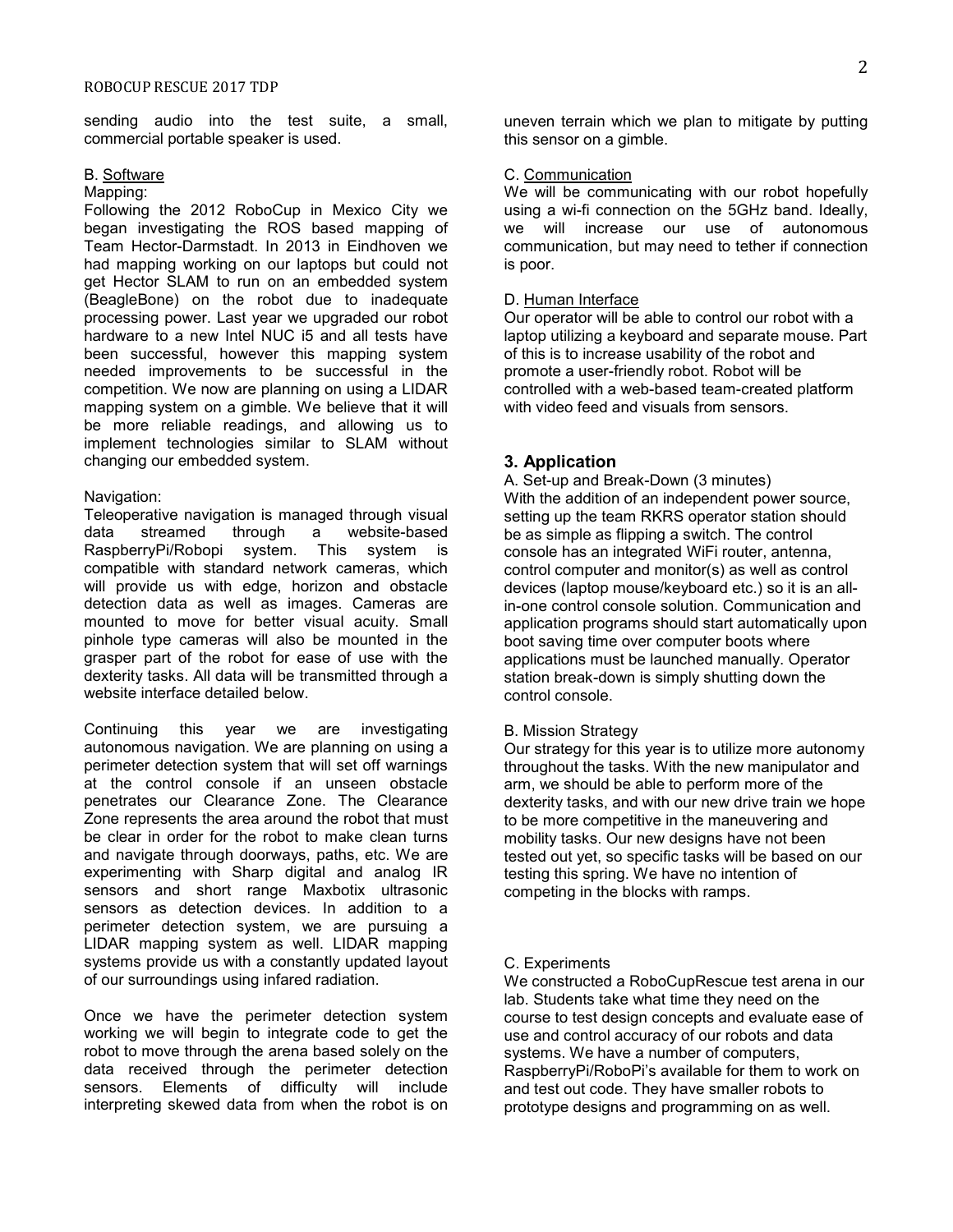sending audio into the test suite, a small, commercial portable speaker is used.

## B. Software

### Mapping:

Following the 2012 RoboCup in Mexico City we began investigating the ROS based mapping of Team Hector-Darmstadt. In 2013 in Eindhoven we had mapping working on our laptops but could not get Hector SLAM to run on an embedded system (BeagleBone) on the robot due to inadequate processing power. Last year we upgraded our robot hardware to a new Intel NUC i5 and all tests have been successful, however this mapping system needed improvements to be successful in the competition. We now are planning on using a LIDAR mapping system on a gimble. We believe that it will be more reliable readings, and allowing us to implement technologies similar to SLAM without changing our embedded system.

### Navigation:

Teleoperative navigation is managed through visual data streamed through a website-based RaspberryPi/Robopi system. This system is compatible with standard network cameras, which will provide us with edge, horizon and obstacle detection data as well as images. Cameras are mounted to move for better visual acuity. Small pinhole type cameras will also be mounted in the grasper part of the robot for ease of use with the dexterity tasks. All data will be transmitted through a website interface detailed below.

Continuing this year we are investigating autonomous navigation. We are planning on using a perimeter detection system that will set off warnings at the control console if an unseen obstacle penetrates our Clearance Zone. The Clearance Zone represents the area around the robot that must be clear in order for the robot to make clean turns and navigate through doorways, paths, etc. We are experimenting with Sharp digital and analog IR sensors and short range Maxbotix ultrasonic sensors as detection devices. In addition to a perimeter detection system, we are pursuing a LIDAR mapping system as well. LIDAR mapping systems provide us with a constantly updated layout of our surroundings using infared radiation.

Once we have the perimeter detection system working we will begin to integrate code to get the robot to move through the arena based solely on the data received through the perimeter detection sensors. Elements of difficulty will include interpreting skewed data from when the robot is on

uneven terrain which we plan to mitigate by putting this sensor on a gimble.

### C. Communication

We will be communicating with our robot hopefully using a wi-fi connection on the 5GHz band. Ideally, we will increase our use of autonomous communication, but may need to tether if connection is poor.

### D. Human Interface

Our operator will be able to control our robot with a laptop utilizing a keyboard and separate mouse. Part of this is to increase usability of the robot and promote a user-friendly robot. Robot will be controlled with a web-based team-created platform with video feed and visuals from sensors.

## **3. Application**

A. Set-up and Break-Down (3 minutes) With the addition of an independent power source, setting up the team RKRS operator station should be as simple as flipping a switch. The control console has an integrated WiFi router, antenna, control computer and monitor(s) as well as control devices (laptop mouse/keyboard etc.) so it is an allin-one control console solution. Communication and application programs should start automatically upon boot saving time over computer boots where applications must be launched manually. Operator station break-down is simply shutting down the control console.

#### B. Mission Strategy

Our strategy for this year is to utilize more autonomy throughout the tasks. With the new manipulator and arm, we should be able to perform more of the dexterity tasks, and with our new drive train we hope to be more competitive in the maneuvering and mobility tasks. Our new designs have not been tested out yet, so specific tasks will be based on our testing this spring. We have no intention of competing in the blocks with ramps.

### C. Experiments

We constructed a RoboCupRescue test arena in our lab. Students take what time they need on the course to test design concepts and evaluate ease of use and control accuracy of our robots and data systems. We have a number of computers, RaspberryPi/RoboPi's available for them to work on and test out code. They have smaller robots to prototype designs and programming on as well.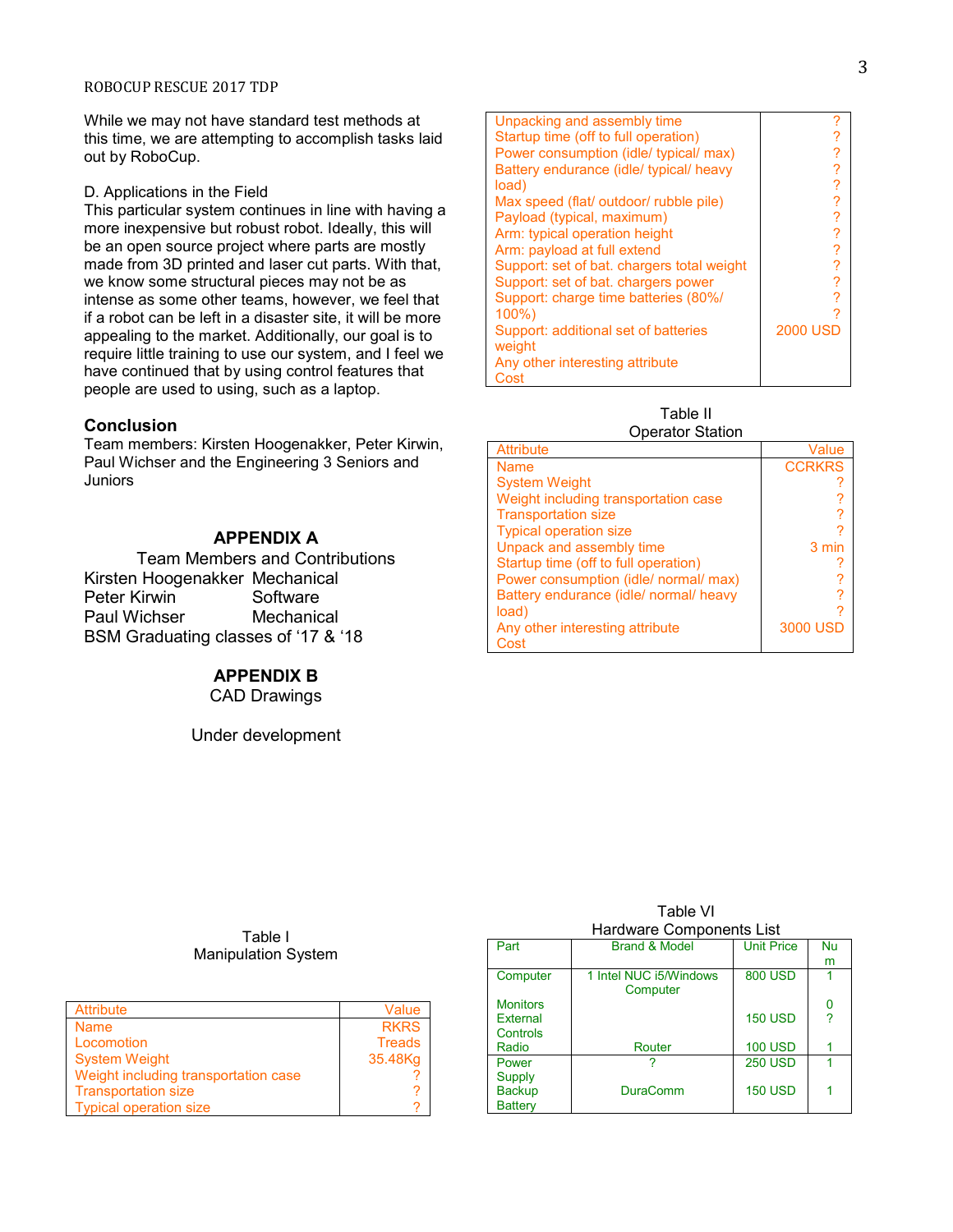While we may not have standard test methods at this time, we are attempting to accomplish tasks laid out by RoboCup.

### D. Applications in the Field

This particular system continues in line with having a more inexpensive but robust robot. Ideally, this will be an open source project where parts are mostly made from 3D printed and laser cut parts. With that, we know some structural pieces may not be as intense as some other teams, however, we feel that if a robot can be left in a disaster site, it will be more appealing to the market. Additionally, our goal is to require little training to use our system, and I feel we have continued that by using control features that people are used to using, such as a laptop.

### **Conclusion**

Team members: Kirsten Hoogenakker, Peter Kirwin, Paul Wichser and the Engineering 3 Seniors and Juniors

# **APPENDIX A**

Team Members and Contributions Kirsten Hoogenakker Mechanical Peter Kirwin Software Paul Wichser Mechanical BSM Graduating classes of '17 & '18

## **APPENDIX B**

CAD Drawings

Under development

| Unpacking and assembly time                |                 |
|--------------------------------------------|-----------------|
| Startup time (off to full operation)       |                 |
| Power consumption (idle/ typical/ max)     |                 |
| Battery endurance (idle/ typical/ heavy    | ?               |
| load)                                      | ?               |
| Max speed (flat/ outdoor/ rubble pile)     |                 |
| Payload (typical, maximum)                 | ?               |
| Arm: typical operation height              |                 |
| Arm: payload at full extend                | ?               |
| Support: set of bat. chargers total weight |                 |
| Support: set of bat. chargers power        |                 |
| Support: charge time batteries (80%/       |                 |
| $100\%$                                    |                 |
| Support: additional set of batteries       | <b>2000 USD</b> |
| weight                                     |                 |
| Any other interesting attribute            |                 |
| Cost                                       |                 |

Table II Operator Station

| ວນບາດເບາ ວເດເເບາາ                      |               |
|----------------------------------------|---------------|
| <b>Attribute</b>                       | Value         |
| <b>Name</b>                            | <b>CCRKRS</b> |
| <b>System Weight</b>                   |               |
| Weight including transportation case   |               |
| <b>Transportation size</b>             |               |
| <b>Typical operation size</b>          |               |
| Unpack and assembly time               | 3 min         |
| Startup time (off to full operation)   |               |
| Power consumption (idle/ normal/ max)  |               |
| Battery endurance (idle/ normal/ heavy | ?             |
| load)                                  | 7             |
| Any other interesting attribute        | 3000 USD      |
| Cost                                   |               |

| Table I                    |  |
|----------------------------|--|
| <b>Manipulation System</b> |  |

| <b>Attribute</b>                     | Value         |
|--------------------------------------|---------------|
| <b>Name</b>                          | <b>RKRS</b>   |
| Locomotion                           | <b>Treads</b> |
| <b>System Weight</b>                 | 35.48Kg       |
| Weight including transportation case |               |
| <b>Transportation size</b>           |               |
| <b>Typical operation size</b>        |               |

| Hardware Components List |                                    |                   |    |
|--------------------------|------------------------------------|-------------------|----|
| Part                     | <b>Brand &amp; Model</b>           | <b>Unit Price</b> | Nu |
|                          |                                    |                   | m  |
| Computer                 | 1 Intel NUC i5/Windows<br>Computer | <b>800 USD</b>    |    |
| <b>Monitors</b>          |                                    |                   |    |
| External                 |                                    | <b>150 USD</b>    |    |
| Controls                 |                                    |                   |    |
| Radio                    | Router                             | <b>100 USD</b>    |    |
| Power                    |                                    | <b>250 USD</b>    |    |
| <b>Supply</b>            |                                    |                   |    |
| <b>Backup</b>            | <b>DuraComm</b>                    | <b>150 USD</b>    |    |
| <b>Battery</b>           |                                    |                   |    |

Table VI